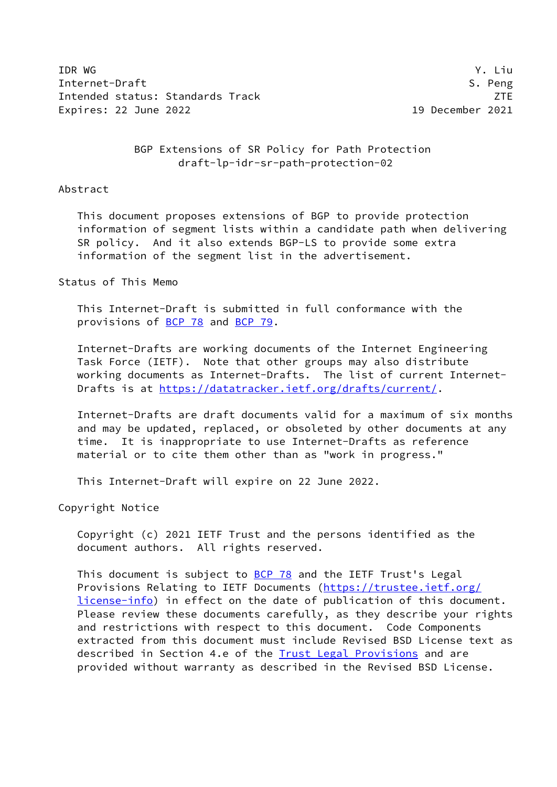IDR WG Y. Liu Internet-Draft S. Peng Intended status: Standards Track ZTE Expires: 22 June 2022 19 December 2021

 BGP Extensions of SR Policy for Path Protection draft-lp-idr-sr-path-protection-02

### Abstract

 This document proposes extensions of BGP to provide protection information of segment lists within a candidate path when delivering SR policy. And it also extends BGP-LS to provide some extra information of the segment list in the advertisement.

## Status of This Memo

 This Internet-Draft is submitted in full conformance with the provisions of [BCP 78](https://datatracker.ietf.org/doc/pdf/bcp78) and [BCP 79](https://datatracker.ietf.org/doc/pdf/bcp79).

 Internet-Drafts are working documents of the Internet Engineering Task Force (IETF). Note that other groups may also distribute working documents as Internet-Drafts. The list of current Internet Drafts is at<https://datatracker.ietf.org/drafts/current/>.

 Internet-Drafts are draft documents valid for a maximum of six months and may be updated, replaced, or obsoleted by other documents at any time. It is inappropriate to use Internet-Drafts as reference material or to cite them other than as "work in progress."

This Internet-Draft will expire on 22 June 2022.

Copyright Notice

 Copyright (c) 2021 IETF Trust and the persons identified as the document authors. All rights reserved.

This document is subject to [BCP 78](https://datatracker.ietf.org/doc/pdf/bcp78) and the IETF Trust's Legal Provisions Relating to IETF Documents ([https://trustee.ietf.org/](https://trustee.ietf.org/license-info) [license-info](https://trustee.ietf.org/license-info)) in effect on the date of publication of this document. Please review these documents carefully, as they describe your rights and restrictions with respect to this document. Code Components extracted from this document must include Revised BSD License text as described in Section 4.e of the [Trust Legal Provisions](https://trustee.ietf.org/license-info) and are provided without warranty as described in the Revised BSD License.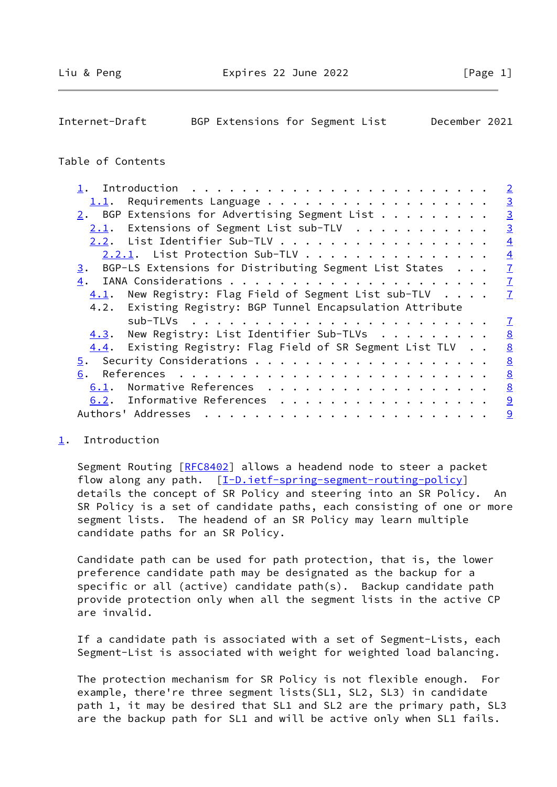<span id="page-1-1"></span>

| Internet-Draft | BGP Extensions for Segment List |  | December 2021 |  |
|----------------|---------------------------------|--|---------------|--|

## Table of Contents

|                                                                              | $\overline{2}$  |
|------------------------------------------------------------------------------|-----------------|
| 1.1.                                                                         | $\overline{3}$  |
| $2.$ BGP Extensions for Advertising Segment List                             | $\overline{3}$  |
| Extensions of Segment List sub-TLV<br>2.1.                                   | $\overline{3}$  |
| 2.2. List Identifier Sub-TLV                                                 | $\overline{4}$  |
| 2.2.1. List Protection Sub-TLV                                               | $\overline{4}$  |
| BGP-LS Extensions for Distributing Segment List States<br>3.                 | $\overline{1}$  |
| 4.                                                                           | $\overline{1}$  |
| New Registry: Flag Field of Segment List sub-TLV $\cdot \cdot \cdot$<br>4.1. | $\overline{1}$  |
|                                                                              |                 |
| 4.2. Existing Registry: BGP Tunnel Encapsulation Attribute                   |                 |
|                                                                              | $\mathcal{I}$   |
| New Registry: List Identifier Sub-TLVs<br>4.3.                               | 8               |
| Existing Registry: Flag Field of SR Segment List TLV<br>4.4.                 | $\underline{8}$ |
|                                                                              | 8               |
| 6.                                                                           | 8               |
| Normative References<br>6.1.                                                 | 8               |
| 6.2. Informative References<br>Authors' Addresses                            | 9<br>9          |

### <span id="page-1-0"></span>[1](#page-1-0). Introduction

Segment Routing [\[RFC8402](https://datatracker.ietf.org/doc/pdf/rfc8402)] allows a headend node to steer a packet flow along any path. [[I-D.ietf-spring-segment-routing-policy](#page-9-2)] details the concept of SR Policy and steering into an SR Policy. An SR Policy is a set of candidate paths, each consisting of one or more segment lists. The headend of an SR Policy may learn multiple candidate paths for an SR Policy.

 Candidate path can be used for path protection, that is, the lower preference candidate path may be designated as the backup for a specific or all (active) candidate path(s). Backup candidate path provide protection only when all the segment lists in the active CP are invalid.

 If a candidate path is associated with a set of Segment-Lists, each Segment-List is associated with weight for weighted load balancing.

 The protection mechanism for SR Policy is not flexible enough. For example, there're three segment lists(SL1, SL2, SL3) in candidate path 1, it may be desired that SL1 and SL2 are the primary path, SL3 are the backup path for SL1 and will be active only when SL1 fails.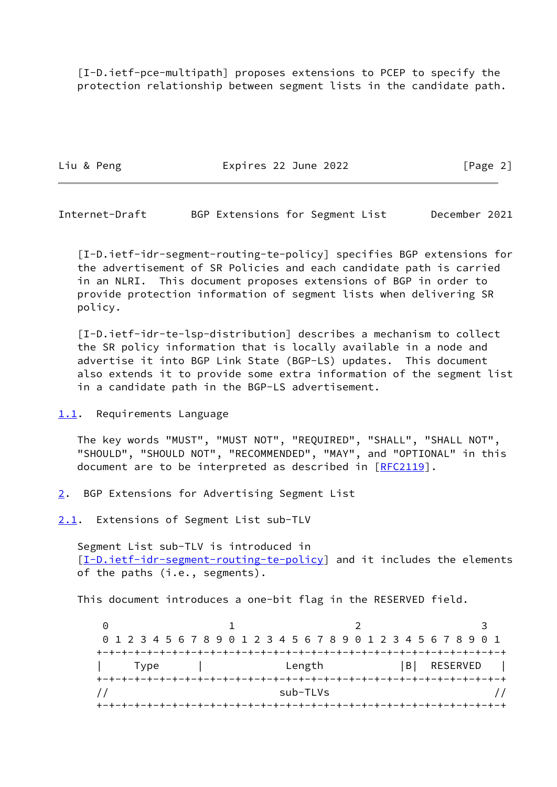[I-D.ietf-pce-multipath] proposes extensions to PCEP to specify the protection relationship between segment lists in the candidate path.

Liu & Peng The Expires 22 June 2022 The Expires 20 June 2022

<span id="page-2-1"></span>Internet-Draft BGP Extensions for Segment List December 2021

<span id="page-2-4"></span> [I-D.ietf-idr-segment-routing-te-policy] specifies BGP extensions for the advertisement of SR Policies and each candidate path is carried in an NLRI. This document proposes extensions of BGP in order to provide protection information of segment lists when delivering SR policy.

<span id="page-2-5"></span> [I-D.ietf-idr-te-lsp-distribution] describes a mechanism to collect the SR policy information that is locally available in a node and advertise it into BGP Link State (BGP-LS) updates. This document also extends it to provide some extra information of the segment list in a candidate path in the BGP-LS advertisement.

<span id="page-2-0"></span>[1.1](#page-2-0). Requirements Language

 The key words "MUST", "MUST NOT", "REQUIRED", "SHALL", "SHALL NOT", "SHOULD", "SHOULD NOT", "RECOMMENDED", "MAY", and "OPTIONAL" in this document are to be interpreted as described in [\[RFC2119](https://datatracker.ietf.org/doc/pdf/rfc2119)].

<span id="page-2-2"></span>[2](#page-2-2). BGP Extensions for Advertising Segment List

<span id="page-2-3"></span>[2.1](#page-2-3). Extensions of Segment List sub-TLV

 Segment List sub-TLV is introduced in [\[I-D.ietf-idr-segment-routing-te-policy](#page-2-4)] and it includes the elements of the paths (i.e., segments).

This document introduces a one-bit flag in the RESERVED field.

0 1 2 3 0 1 2 3 4 5 6 7 8 9 0 1 2 3 4 5 6 7 8 9 0 1 2 3 4 5 6 7 8 9 0 1 +-+-+-+-+-+-+-+-+-+-+-+-+-+-+-+-+-+-+-+-+-+-+-+-+-+-+-+-+-+-+-+-+ Type | Length |B| RESERVED | +-+-+-+-+-+-+-+-+-+-+-+-+-+-+-+-+-+-+-+-+-+-+-+-+-+-+-+-+-+-+-+-+ // sub-TLVs // +-+-+-+-+-+-+-+-+-+-+-+-+-+-+-+-+-+-+-+-+-+-+-+-+-+-+-+-+-+-+-+-+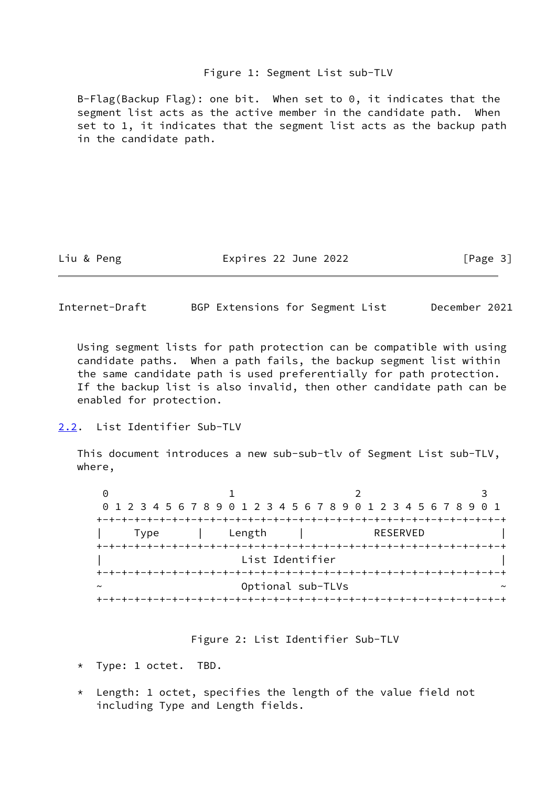#### Figure 1: Segment List sub-TLV

 B-Flag(Backup Flag): one bit. When set to 0, it indicates that the segment list acts as the active member in the candidate path. When set to 1, it indicates that the segment list acts as the backup path in the candidate path.

Liu & Peng The Expires 22 June 2022 [Page 3]

<span id="page-3-1"></span>Internet-Draft BGP Extensions for Segment List December 2021

 Using segment lists for path protection can be compatible with using candidate paths. When a path fails, the backup segment list within the same candidate path is used preferentially for path protection. If the backup list is also invalid, then other candidate path can be enabled for protection.

<span id="page-3-0"></span>[2.2](#page-3-0). List Identifier Sub-TLV

 This document introduces a new sub-sub-tlv of Segment List sub-TLV, where,

0 1 2 3 0 1 2 3 4 5 6 7 8 9 0 1 2 3 4 5 6 7 8 9 0 1 2 3 4 5 6 7 8 9 0 1 +-+-+-+-+-+-+-+-+-+-+-+-+-+-+-+-+-+-+-+-+-+-+-+-+-+-+-+-+-+-+-+-+ Type | Length | RESERVED +-+-+-+-+-+-+-+-+-+-+-+-+-+-+-+-+-+-+-+-+-+-+-+-+-+-+-+-+-+-+-+-+ List Identifier +-+-+-+-+-+-+-+-+-+-+-+-+-+-+-+-+-+-+-+-+-+-+-+-+-+-+-+-+-+-+-+-+ Optional sub-TLVs +-+-+-+-+-+-+-+-+-+-+-+-+-+-+-+-+-+-+-+-+-+-+-+-+-+-+-+-+-+-+-+-+

Figure 2: List Identifier Sub-TLV

- \* Type: 1 octet. TBD.
- \* Length: 1 octet, specifies the length of the value field not including Type and Length fields.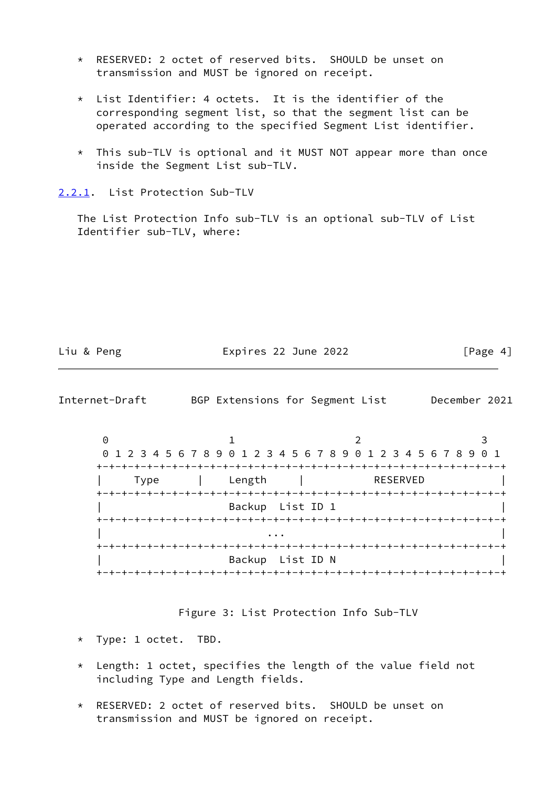- \* RESERVED: 2 octet of reserved bits. SHOULD be unset on transmission and MUST be ignored on receipt.
- \* List Identifier: 4 octets. It is the identifier of the corresponding segment list, so that the segment list can be operated according to the specified Segment List identifier.
- \* This sub-TLV is optional and it MUST NOT appear more than once inside the Segment List sub-TLV.

<span id="page-4-0"></span>[2.2.1](#page-4-0). List Protection Sub-TLV

 The List Protection Info sub-TLV is an optional sub-TLV of List Identifier sub-TLV, where:

|  | Lıu | & | Peng |
|--|-----|---|------|
|--|-----|---|------|

Expires 22 June 2022  $[Page 4]$ 

Internet-Draft BGP Extensions for Segment List December 2021

0 1 2 3 0 1 2 3 4 5 6 7 8 9 0 1 2 3 4 5 6 7 8 9 0 1 2 3 4 5 6 7 8 9 0 1 +-+-+-+-+-+-+-+-+-+-+-+-+-+-+-+-+-+-+-+-+-+-+-+-+-+-+-+-+-+-+-+-+ | Type | Length | RESERVED | +-+-+-+-+-+-+-+-+-+-+-+-+-+-+-+-+-+-+-+-+-+-+-+-+-+-+-+-+-+-+-+-+ Backup List ID 1 +-+-+-+-+-+-+-+-+-+-+-+-+-+-+-+-+-+-+-+-+-+-+-+-+-+-+-+-+-+-+-+-+ | ... | ... | ... | ... | ... | ... | ... | ... | ... | ... | ... | ... | ... | ... | ... | ... | ... | ... | <br>| ... | ... | ... | ... | ... | ... | ... | ... | ... | ... | ... | ... | ... | ... | ... | ... | ... | ... | +-+-+-+-+-+-+-+-+-+-+-+-+-+-+-+-+-+-+-+-+-+-+-+-+-+-+-+-+-+-+-+-+ Backup List ID N +-+-+-+-+-+-+-+-+-+-+-+-+-+-+-+-+-+-+-+-+-+-+-+-+-+-+-+-+-+-+-+-+

Figure 3: List Protection Info Sub-TLV

- \* Type: 1 octet. TBD.
- \* Length: 1 octet, specifies the length of the value field not including Type and Length fields.
- RESERVED: 2 octet of reserved bits. SHOULD be unset on transmission and MUST be ignored on receipt.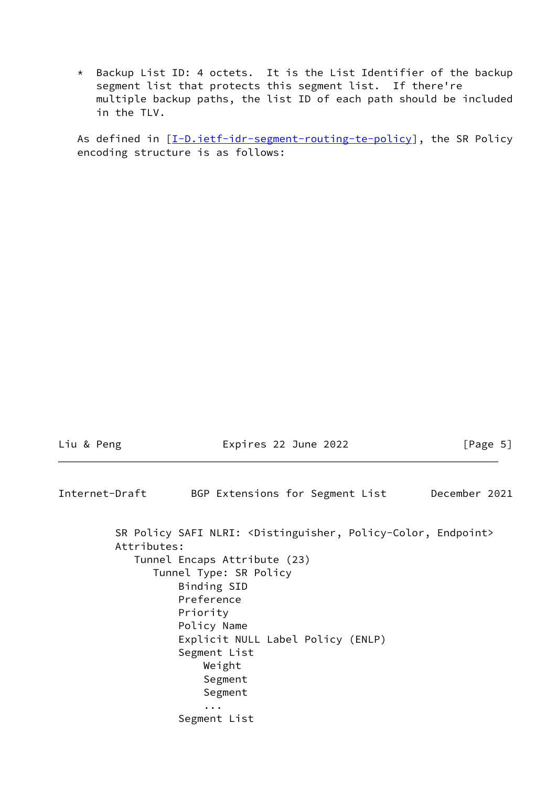\* Backup List ID: 4 octets. It is the List Identifier of the backup segment list that protects this segment list. If there're multiple backup paths, the list ID of each path should be included in the TLV.

As defined in [[I-D.ietf-idr-segment-routing-te-policy](#page-2-4)], the SR Policy encoding structure is as follows:

Liu & Peng **Expires 22 June 2022** [Page 5]

| Internet-Draft |             |                                                                       |  |  |  | BGP Extensions for Segment List                                                     | December 2021 |  |
|----------------|-------------|-----------------------------------------------------------------------|--|--|--|-------------------------------------------------------------------------------------|---------------|--|
|                | Attributes: |                                                                       |  |  |  | SR Policy SAFI NLRI: <distinguisher, endpoint="" policy-color,=""></distinguisher,> |               |  |
|                |             | Tunnel Encaps Attribute (23)                                          |  |  |  |                                                                                     |               |  |
|                |             | Tunnel Type: SR Policy                                                |  |  |  |                                                                                     |               |  |
|                |             | Binding SID                                                           |  |  |  |                                                                                     |               |  |
|                |             | Preference                                                            |  |  |  |                                                                                     |               |  |
|                |             | Priority                                                              |  |  |  |                                                                                     |               |  |
|                |             | Policy Name                                                           |  |  |  |                                                                                     |               |  |
|                |             | Explicit NULL Label Policy (ENLP)                                     |  |  |  |                                                                                     |               |  |
|                |             | Segment List                                                          |  |  |  |                                                                                     |               |  |
|                |             | Weight                                                                |  |  |  |                                                                                     |               |  |
|                |             | Segment                                                               |  |  |  |                                                                                     |               |  |
|                |             | Segment                                                               |  |  |  |                                                                                     |               |  |
|                |             | $\ddot{\phantom{0}}\cdot\phantom{0}\dot{\phantom{0}}\cdot\phantom{0}$ |  |  |  |                                                                                     |               |  |
|                |             | Segment List                                                          |  |  |  |                                                                                     |               |  |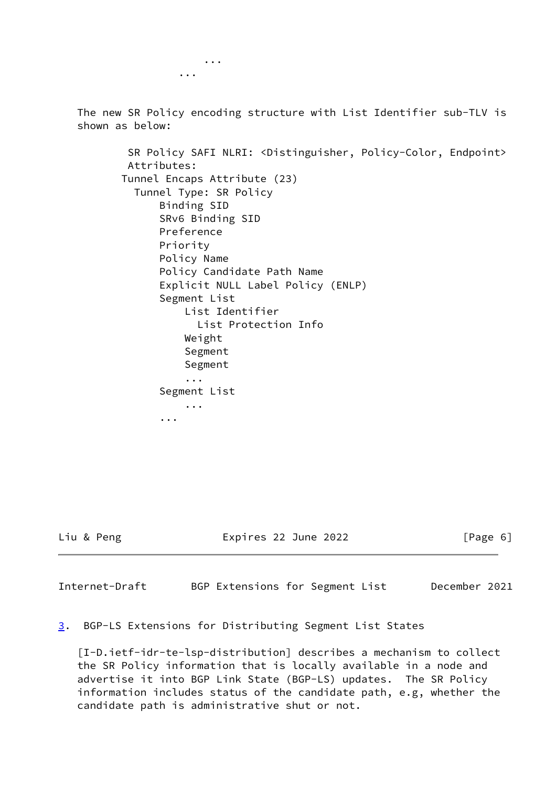... ...

> The new SR Policy encoding structure with List Identifier sub-TLV is shown as below:

 SR Policy SAFI NLRI: <Distinguisher, Policy-Color, Endpoint> Attributes: Tunnel Encaps Attribute (23) Tunnel Type: SR Policy Binding SID SRv6 Binding SID Preference Priority Policy Name Policy Candidate Path Name Explicit NULL Label Policy (ENLP) Segment List List Identifier List Protection Info Weight Segment Segment ... Segment List ...

...

Liu & Peng Expires 22 June 2022 [Page 6]

<span id="page-6-1"></span>Internet-Draft BGP Extensions for Segment List December 2021

<span id="page-6-0"></span>[3](#page-6-0). BGP-LS Extensions for Distributing Segment List States

 [I-D.ietf-idr-te-lsp-distribution] describes a mechanism to collect the SR Policy information that is locally available in a node and advertise it into BGP Link State (BGP-LS) updates. The SR Policy information includes status of the candidate path, e.g, whether the candidate path is administrative shut or not.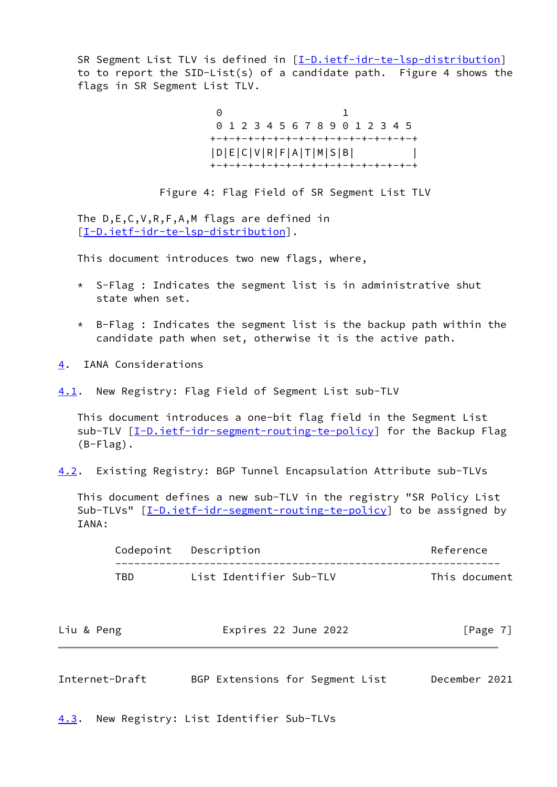SR Segment List TLV is defined in [[I-D.ietf-idr-te-lsp-distribution\]](#page-2-5) to to report the SID-List(s) of a candidate path. Figure 4 shows the flags in SR Segment List TLV.

**0** 1 0 1 2 3 4 5 6 7 8 9 0 1 2 3 4 5 +-+-+-+-+-+-+-+-+-+-+-+-+-+-+-+-+ |D|E|C|V|R|F|A|T|M|S|B| | +-+-+-+-+-+-+-+-+-+-+-+-+-+-+-+-+

Figure 4: Flag Field of SR Segment List TLV

 The D,E,C,V,R,F,A,M flags are defined in [\[I-D.ietf-idr-te-lsp-distribution](#page-2-5)].

This document introduces two new flags, where,

- \* S-Flag : Indicates the segment list is in administrative shut state when set.
- $*$  B-Flag : Indicates the segment list is the backup path within the candidate path when set, otherwise it is the active path.
- <span id="page-7-0"></span>[4](#page-7-0). IANA Considerations

<span id="page-7-1"></span>[4.1](#page-7-1). New Registry: Flag Field of Segment List sub-TLV

 This document introduces a one-bit flag field in the Segment List sub-TLV [\[I-D.ietf-idr-segment-routing-te-policy](#page-2-4)] for the Backup Flag (B-Flag).

<span id="page-7-4"></span>[4.2](#page-7-4). Existing Registry: BGP Tunnel Encapsulation Attribute sub-TLVs

 This document defines a new sub-TLV in the registry "SR Policy List Sub-TLVs" [[I-D.ietf-idr-segment-routing-te-policy](#page-2-4)] to be assigned by IANA:

|      | Codepoint Description   | Reference     |
|------|-------------------------|---------------|
| TRD. | List Identifier Sub-TLV | This document |

| Liu & Peng | Expires 22 June 2022 | [Page $7$ ] |
|------------|----------------------|-------------|
|            |                      |             |

<span id="page-7-3"></span>Internet-Draft BGP Extensions for Segment List December 2021

<span id="page-7-2"></span>[4.3](#page-7-2). New Registry: List Identifier Sub-TLVs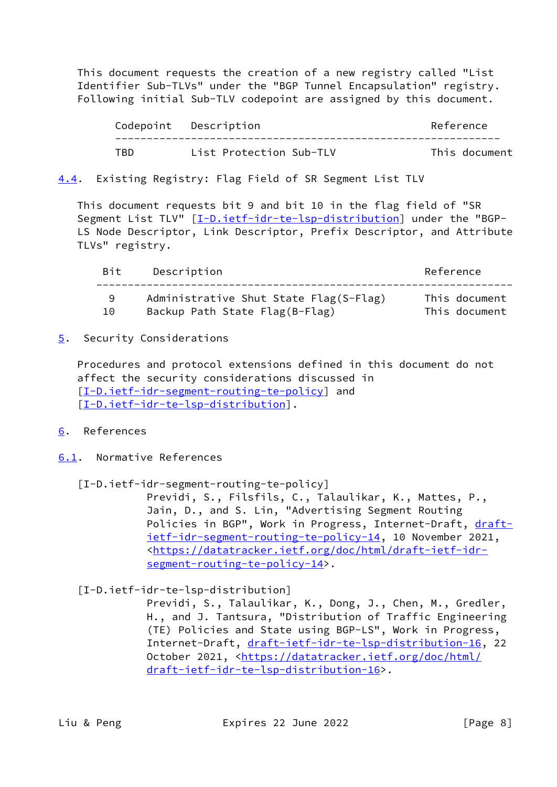This document requests the creation of a new registry called "List Identifier Sub-TLVs" under the "BGP Tunnel Encapsulation" registry. Following initial Sub-TLV codepoint are assigned by this document.

|     | Codepoint Description   | Reference     |
|-----|-------------------------|---------------|
| TBD | List Protection Sub-TLV | This document |

# <span id="page-8-0"></span>[4.4](#page-8-0). Existing Registry: Flag Field of SR Segment List TLV

 This document requests bit 9 and bit 10 in the flag field of "SR Segment List TLV" [[I-D.ietf-idr-te-lsp-distribution\]](#page-2-5) under the "BGP- LS Node Descriptor, Link Descriptor, Prefix Descriptor, and Attribute TLVs" registry.

| Bit | Description                                                              | Reference                      |
|-----|--------------------------------------------------------------------------|--------------------------------|
| 10  | Administrative Shut State Flag(S-Flag)<br>Backup Path State Flag(B-Flag) | This document<br>This document |

<span id="page-8-1"></span>[5](#page-8-1). Security Considerations

 Procedures and protocol extensions defined in this document do not affect the security considerations discussed in [\[I-D.ietf-idr-segment-routing-te-policy](#page-2-4)] and [\[I-D.ietf-idr-te-lsp-distribution](#page-2-5)].

- <span id="page-8-2"></span>[6](#page-8-2). References
- <span id="page-8-3"></span>[6.1](#page-8-3). Normative References
	- [I-D.ietf-idr-segment-routing-te-policy]

 Previdi, S., Filsfils, C., Talaulikar, K., Mattes, P., Jain, D., and S. Lin, "Advertising Segment Routing Policies in BGP", Work in Progress, Internet-Draft, [draft](https://datatracker.ietf.org/doc/pdf/draft-ietf-idr-segment-routing-te-policy-14) [ietf-idr-segment-routing-te-policy-14,](https://datatracker.ietf.org/doc/pdf/draft-ietf-idr-segment-routing-te-policy-14) 10 November 2021, <[https://datatracker.ietf.org/doc/html/draft-ietf-idr](https://datatracker.ietf.org/doc/html/draft-ietf-idr-segment-routing-te-policy-14) [segment-routing-te-policy-14>](https://datatracker.ietf.org/doc/html/draft-ietf-idr-segment-routing-te-policy-14).

[I-D.ietf-idr-te-lsp-distribution]

 Previdi, S., Talaulikar, K., Dong, J., Chen, M., Gredler, H., and J. Tantsura, "Distribution of Traffic Engineering (TE) Policies and State using BGP-LS", Work in Progress, Internet-Draft, [draft-ietf-idr-te-lsp-distribution-16,](https://datatracker.ietf.org/doc/pdf/draft-ietf-idr-te-lsp-distribution-16) 22 October 2021, [<https://datatracker.ietf.org/doc/html/](https://datatracker.ietf.org/doc/html/draft-ietf-idr-te-lsp-distribution-16) [draft-ietf-idr-te-lsp-distribution-16>](https://datatracker.ietf.org/doc/html/draft-ietf-idr-te-lsp-distribution-16).